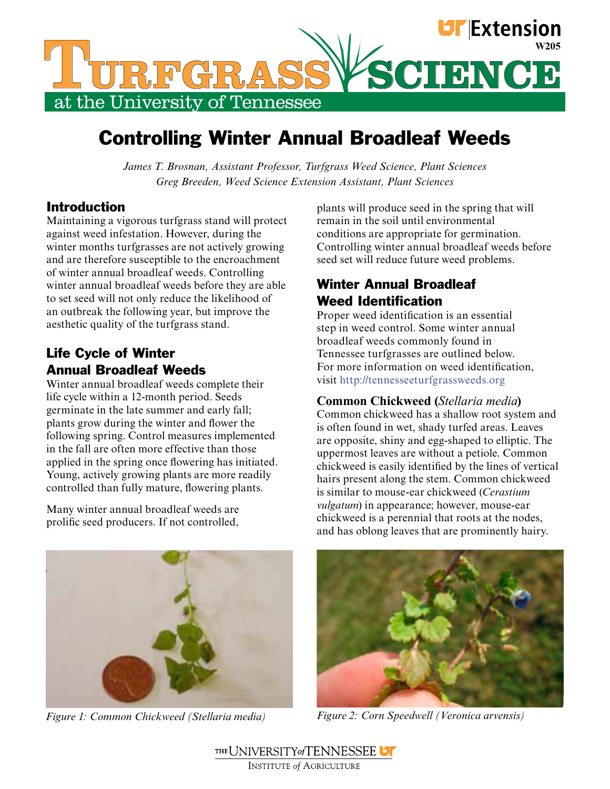

# Controlling Winter Annual Broadleaf Weeds

*James T. Brosnan, Assistant Professor, Turfgrass Weed Science, Plant Sciences Greg Breeden, Weed Science Extension Assistant, Plant Sciences*

### Introduction

Maintaining a vigorous turfgrass stand will protect against weed infestation. However, during the winter months turfgrasses are not actively growing and are therefore susceptible to the encroachment of winter annual broadleaf weeds. Controlling winter annual broadleaf weeds before they are able to set seed will not only reduce the likelihood of an outbreak the following year, but improve the aesthetic quality of the turfgrass stand.

### Life Cycle of Winter Annual Broadleaf Weeds

Winter annual broadleaf weeds complete their life cycle within a 12-month period. Seeds germinate in the late summer and early fall; plants grow during the winter and flower the following spring. Control measures implemented in the fall are often more effective than those applied in the spring once flowering has initiated. Young, actively growing plants are more readily controlled than fully mature, flowering plants.

Many winter annual broadleaf weeds are prolific seed producers. If not controlled,

*Figure 1: Common Chickweed (Stellaria media) Figure 2: Corn Speedwell (Veronica arvensis)*

plants will produce seed in the spring that will remain in the soil until environmental conditions are appropriate for germination. Controlling winter annual broadleaf weeds before seed set will reduce future weed problems.

### Winter Annual Broadleaf Weed Identification

Proper weed identification is an essential step in weed control. Some winter annual broadleaf weeds commonly found in Tennessee turfgrasses are outlined below. For more information on weed identification, visit http://tennesseeturfgrassweeds.org

### **Common Chickweed (***Stellaria media***)**

Common chickweed has a shallow root system and is often found in wet, shady turfed areas. Leaves are opposite, shiny and egg-shaped to elliptic. The uppermost leaves are without a petiole. Common chickweed is easily identified by the lines of vertical hairs present along the stem. Common chickweed is similar to mouse-ear chickweed (*Cerastium vulgatum*) in appearance; however, mouse-ear chickweed is a perennial that roots at the nodes, and has oblong leaves that are prominently hairy.



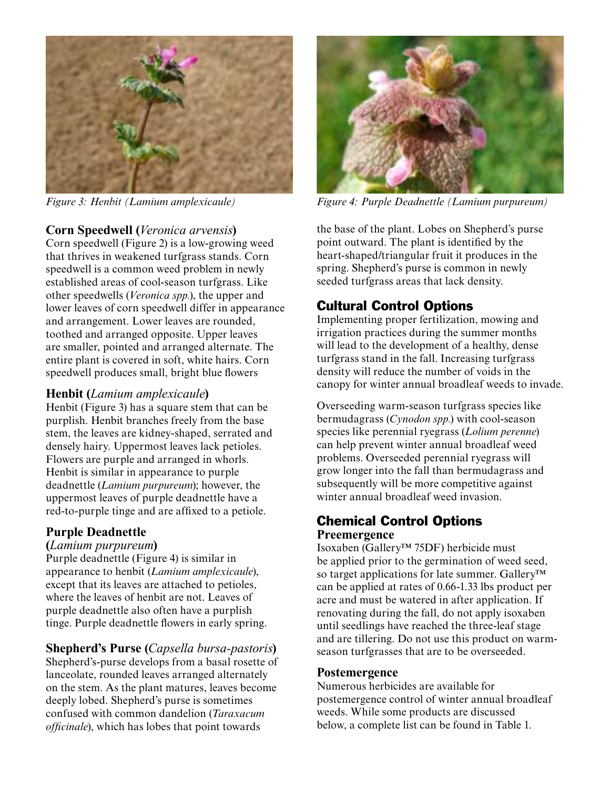

### **Corn Speedwell (***Veronica arvensis***)**

Corn speedwell (Figure 2) is a low-growing weed that thrives in weakened turfgrass stands. Corn speedwell is a common weed problem in newly established areas of cool-season turfgrass. Like other speedwells (*Veronica spp.*), the upper and lower leaves of corn speedwell differ in appearance and arrangement. Lower leaves are rounded, toothed and arranged opposite. Upper leaves are smaller, pointed and arranged alternate. The entire plant is covered in soft, white hairs. Corn speedwell produces small, bright blue flowers

### **Henbit (***Lamium amplexicaule***)**

Henbit (Figure 3) has a square stem that can be purplish. Henbit branches freely from the base stem, the leaves are kidney-shaped, serrated and densely hairy. Uppermost leaves lack petioles. Flowers are purple and arranged in whorls. Henbit is similar in appearance to purple deadnettle (*Lamium purpureum*); however, the uppermost leaves of purple deadnettle have a red-to-purple tinge and are affixed to a petiole.

### **Purple Deadnettle**

### **(***Lamium purpureum***)**

Purple deadnettle (Figure 4) is similar in appearance to henbit (*Lamium amplexicaule*), except that its leaves are attached to petioles, where the leaves of henbit are not. Leaves of purple deadnettle also often have a purplish tinge. Purple deadnettle flowers in early spring.

**Shepherd's Purse (***Capsella bursa-pastoris***)** Shepherd's-purse develops from a basal rosette of lanceolate, rounded leaves arranged alternately on the stem. As the plant matures, leaves become deeply lobed. Shepherd's purse is sometimes confused with common dandelion (*Taraxacum officinale*), which has lobes that point towards



*Figure 3: Henbit (Lamium amplexicaule) Figure 4: Purple Deadnettle (Lamium purpureum)*

the base of the plant. Lobes on Shepherd's purse point outward. The plant is identified by the heart-shaped/triangular fruit it produces in the spring. Shepherd's purse is common in newly seeded turfgrass areas that lack density.

## Cultural Control Options

Implementing proper fertilization, mowing and irrigation practices during the summer months will lead to the development of a healthy, dense turfgrass stand in the fall. Increasing turfgrass density will reduce the number of voids in the canopy for winter annual broadleaf weeds to invade.

Overseeding warm-season turfgrass species like bermudagrass (*Cynodon spp.*) with cool-season species like perennial ryegrass (*Lolium perenne*) can help prevent winter annual broadleaf weed problems. Overseeded perennial ryegrass will grow longer into the fall than bermudagrass and subsequently will be more competitive against winter annual broadleaf weed invasion.

### Chemical Control Options **Preemergence**

Isoxaben (Gallery™ 75DF) herbicide must be applied prior to the germination of weed seed, so target applications for late summer. Gallery™ can be applied at rates of 0.66-1.33 lbs product per acre and must be watered in after application. If renovating during the fall, do not apply isoxaben until seedlings have reached the three-leaf stage and are tillering. Do not use this product on warmseason turfgrasses that are to be overseeded.

### **Postemergence**

Numerous herbicides are available for postemergence control of winter annual broadleaf weeds. While some products are discussed below, a complete list can be found in Table 1.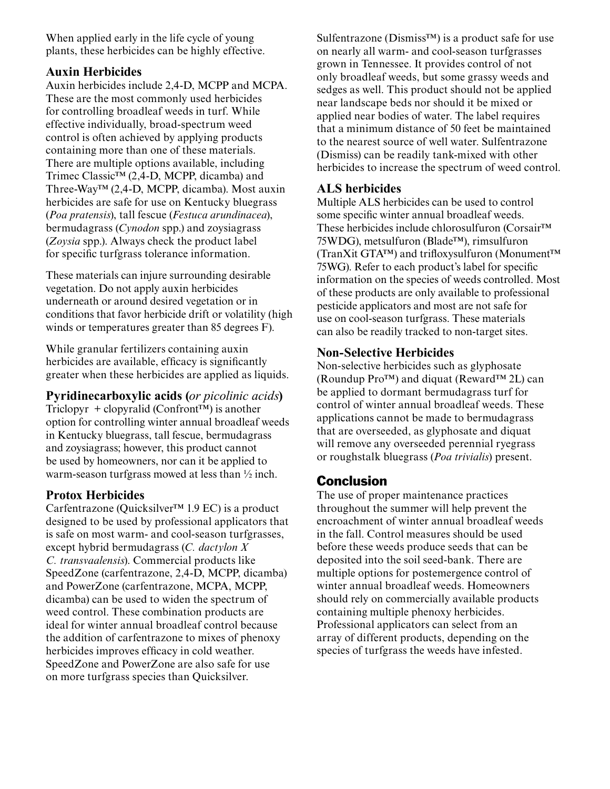When applied early in the life cycle of young plants, these herbicides can be highly effective.

### **Auxin Herbicides**

Auxin herbicides include 2,4-D, MCPP and MCPA. These are the most commonly used herbicides for controlling broadleaf weeds in turf. While effective individually, broad-spectrum weed control is often achieved by applying products containing more than one of these materials. There are multiple options available, including Trimec Classic™ (2,4-D, MCPP, dicamba) and Three-Way™ (2,4-D, MCPP, dicamba). Most auxin herbicides are safe for use on Kentucky bluegrass (*Poa pratensis*), tall fescue (*Festuca arundinacea*), bermudagrass (*Cynodon* spp.) and zoysiagrass (*Zoysia* spp.). Always check the product label for specific turfgrass tolerance information.

These materials can injure surrounding desirable vegetation. Do not apply auxin herbicides underneath or around desired vegetation or in conditions that favor herbicide drift or volatility (high winds or temperatures greater than 85 degrees F).

While granular fertilizers containing auxin herbicides are available, efficacy is significantly greater when these herbicides are applied as liquids.

**Pyridinecarboxylic acids (***or picolinic acids***)** Triclopyr + clopyralid (Confront<sup> $TM$ </sup>) is another option for controlling winter annual broadleaf weeds in Kentucky bluegrass, tall fescue, bermudagrass and zoysiagrass; however, this product cannot be used by homeowners, nor can it be applied to warm-season turfgrass mowed at less than ½ inch.

### **Protox Herbicides**

Carfentrazone (Quicksilver<sup> $TM$ </sup> 1.9 EC) is a product designed to be used by professional applicators that is safe on most warm- and cool-season turfgrasses, except hybrid bermudagrass (*C. dactylon X C. transvaalensis*). Commercial products like SpeedZone (carfentrazone, 2,4-D, MCPP, dicamba) and PowerZone (carfentrazone, MCPA, MCPP, dicamba) can be used to widen the spectrum of weed control. These combination products are ideal for winter annual broadleaf control because the addition of carfentrazone to mixes of phenoxy herbicides improves efficacy in cold weather. SpeedZone and PowerZone are also safe for use on more turfgrass species than Quicksilver.

Sulfentrazone (Dismiss™) is a product safe for use on nearly all warm- and cool-season turfgrasses grown in Tennessee. It provides control of not only broadleaf weeds, but some grassy weeds and sedges as well. This product should not be applied near landscape beds nor should it be mixed or applied near bodies of water. The label requires that a minimum distance of 50 feet be maintained to the nearest source of well water. Sulfentrazone (Dismiss) can be readily tank-mixed with other herbicides to increase the spectrum of weed control.

### **ALS herbicides**

Multiple ALS herbicides can be used to control some specific winter annual broadleaf weeds. These herbicides include chlorosulfuron (Corsair™ 75WDG), metsulfuron (Blade™), rimsulfuron (TranXit GTA™) and trifloxysulfuron (Monument™ 75WG). Refer to each product's label for specific information on the species of weeds controlled. Most of these products are only available to professional pesticide applicators and most are not safe for use on cool-season turfgrass. These materials can also be readily tracked to non-target sites.

### **Non-Selective Herbicides**

Non-selective herbicides such as glyphosate (Roundup Pro™) and diquat (Reward™ 2L) can be applied to dormant bermudagrass turf for control of winter annual broadleaf weeds. These applications cannot be made to bermudagrass that are overseeded, as glyphosate and diquat will remove any overseeded perennial ryegrass or roughstalk bluegrass (*Poa trivialis*) present.

### Conclusion

The use of proper maintenance practices throughout the summer will help prevent the encroachment of winter annual broadleaf weeds in the fall. Control measures should be used before these weeds produce seeds that can be deposited into the soil seed-bank. There are multiple options for postemergence control of winter annual broadleaf weeds. Homeowners should rely on commercially available products containing multiple phenoxy herbicides. Professional applicators can select from an array of different products, depending on the species of turfgrass the weeds have infested.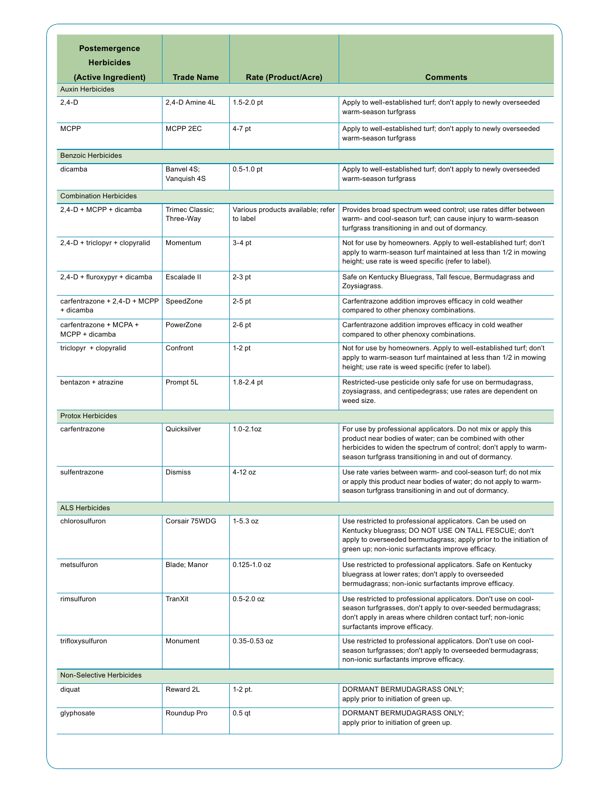| <b>Postemergence</b>                      |                              |                                               |                                                                                                                                                                                                                                                          |
|-------------------------------------------|------------------------------|-----------------------------------------------|----------------------------------------------------------------------------------------------------------------------------------------------------------------------------------------------------------------------------------------------------------|
| <b>Herbicides</b>                         |                              |                                               |                                                                                                                                                                                                                                                          |
| (Active Ingredient)                       | <b>Trade Name</b>            | Rate (Product/Acre)                           | <b>Comments</b>                                                                                                                                                                                                                                          |
| <b>Auxin Herbicides</b>                   |                              |                                               |                                                                                                                                                                                                                                                          |
| $2,4-D$                                   | 2,4-D Amine 4L               | $1.5 - 2.0$ pt                                | Apply to well-established turf; don't apply to newly overseeded<br>warm-season turfgrass                                                                                                                                                                 |
| <b>MCPP</b>                               | MCPP 2EC                     | 4-7 pt                                        | Apply to well-established turf; don't apply to newly overseeded<br>warm-season turfgrass                                                                                                                                                                 |
| <b>Benzoic Herbicides</b>                 |                              |                                               |                                                                                                                                                                                                                                                          |
| dicamba                                   | Banvel 4S;<br>Vanquish 4S    | $0.5 - 1.0$ pt                                | Apply to well-established turf; don't apply to newly overseeded<br>warm-season turfgrass                                                                                                                                                                 |
| <b>Combination Herbicides</b>             |                              |                                               |                                                                                                                                                                                                                                                          |
| 2,4-D + MCPP + dicamba                    | Trimec Classic;<br>Three-Way | Various products available; refer<br>to label | Provides broad spectrum weed control; use rates differ between<br>warm- and cool-season turf; can cause injury to warm-season<br>turfgrass transitioning in and out of dormancy.                                                                         |
| $2,4-D + triclopyr + clopyralid$          | Momentum                     | $3-4$ pt                                      | Not for use by homeowners. Apply to well-established turf; don't<br>apply to warm-season turf maintained at less than 1/2 in mowing<br>height; use rate is weed specific (refer to label).                                                               |
| $2,4-D + flux$ fluroxypyr + dicamba       | Escalade II                  | $2-3$ pt                                      | Safe on Kentucky Bluegrass, Tall fescue, Bermudagrass and<br>Zoysiagrass.                                                                                                                                                                                |
| carfentrazone + 2,4-D + MCPP<br>+ dicamba | SpeedZone                    | $2-5$ pt                                      | Carfentrazone addition improves efficacy in cold weather<br>compared to other phenoxy combinations.                                                                                                                                                      |
| carfentrazone + MCPA +<br>MCPP + dicamba  | PowerZone                    | $2-6$ pt                                      | Carfentrazone addition improves efficacy in cold weather<br>compared to other phenoxy combinations.                                                                                                                                                      |
| triclopyr + clopyralid                    | Confront                     | $1-2$ pt                                      | Not for use by homeowners. Apply to well-established turf; don't<br>apply to warm-season turf maintained at less than 1/2 in mowing<br>height; use rate is weed specific (refer to label).                                                               |
| bentazon + atrazine                       | Prompt 5L                    | $1.8 - 2.4$ pt                                | Restricted-use pesticide only safe for use on bermudagrass,<br>zoysiagrass, and centipedegrass; use rates are dependent on<br>weed size.                                                                                                                 |
| <b>Protox Herbicides</b>                  |                              |                                               |                                                                                                                                                                                                                                                          |
| carfentrazone                             | Quicksilver                  | $1.0 - 2.1$ oz                                | For use by professional applicators. Do not mix or apply this<br>product near bodies of water; can be combined with other<br>herbicides to widen the spectrum of control; don't apply to warm-<br>season turfgrass transitioning in and out of dormancy. |
| sulfentrazone                             | Dismiss                      | 4-12 oz                                       | Use rate varies between warm- and cool-season turf; do not mix<br>or apply this product near bodies of water; do not apply to warm-<br>season turfgrass transitioning in and out of dormancy.                                                            |
| <b>ALS Herbicides</b>                     |                              |                                               |                                                                                                                                                                                                                                                          |
| chlorosulfuron                            | Corsair 75WDG                | $1 - 5.3$ oz                                  | Use restricted to professional applicators. Can be used on<br>Kentucky bluegrass; DO NOT USE ON TALL FESCUE; don't<br>apply to overseeded bermudagrass; apply prior to the initiation of<br>green up; non-ionic surfactants improve efficacy.            |
| metsulfuron                               | Blade; Manor                 | $0.125 - 1.0$ oz                              | Use restricted to professional applicators. Safe on Kentucky<br>bluegrass at lower rates; don't apply to overseeded<br>bermudagrass; non-ionic surfactants improve efficacy.                                                                             |
| rimsulfuron                               | TranXit                      | $0.5 - 2.0$ oz                                | Use restricted to professional applicators. Don't use on cool-<br>season turfgrasses, don't apply to over-seeded bermudagrass;<br>don't apply in areas where children contact turf; non-ionic<br>surfactants improve efficacy.                           |
| trifloxysulfuron                          | Monument                     | $0.35 - 0.53$ oz                              | Use restricted to professional applicators. Don't use on cool-<br>season turfgrasses; don't apply to overseeded bermudagrass;<br>non-ionic surfactants improve efficacy.                                                                                 |
| <b>Non-Selective Herbicides</b>           |                              |                                               |                                                                                                                                                                                                                                                          |
| diquat                                    | Reward 2L                    | 1-2 pt.                                       | DORMANT BERMUDAGRASS ONLY;<br>apply prior to initiation of green up.                                                                                                                                                                                     |
| glyphosate                                | Roundup Pro                  | $0.5$ qt                                      | DORMANT BERMUDAGRASS ONLY;<br>apply prior to initiation of green up.                                                                                                                                                                                     |